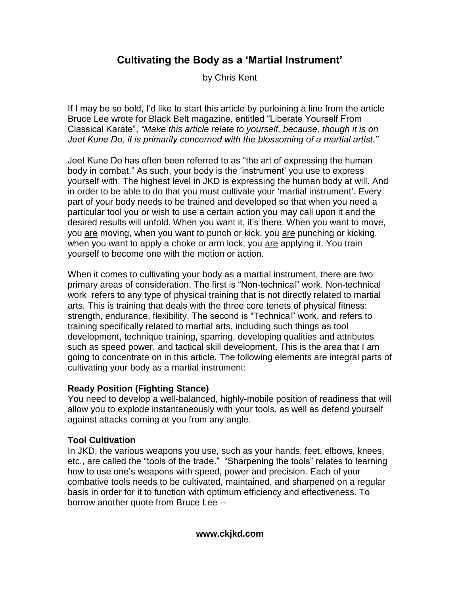# **Cultivating the Body as a 'Martial Instrument'**

by Chris Kent

If I may be so bold, I'd like to start this article by purloining a line from the article Bruce Lee wrote for Black Belt magazine, entitled "Liberate Yourself From Classical Karate", *"Make this article relate to yourself, because, though it is on Jeet Kune Do, it is primarily concerned with the blossoming of a martial artist."*

Jeet Kune Do has often been referred to as "the art of expressing the human body in combat." As such, your body is the 'instrument' you use to express yourself with. The highest level in JKD is expressing the human body at will. And in order to be able to do that you must cultivate your 'martial instrument'. Every part of your body needs to be trained and developed so that when you need a particular tool you or wish to use a certain action you may call upon it and the desired results will unfold. When you want it, it's there. When you want to move, you are moving, when you want to punch or kick, you are punching or kicking, when you want to apply a choke or arm lock, you are applying it. You train yourself to become one with the motion or action.

When it comes to cultivating your body as a martial instrument, there are two primary areas of consideration. The first is "Non-technical" work. Non-technical work refers to any type of physical training that is not directly related to martial arts. This is training that deals with the three core tenets of physical fitness: strength, endurance, flexibility. The second is "Technical" work, and refers to training specifically related to martial arts, including such things as tool development, technique training, sparring, developing qualities and attributes such as speed power, and tactical skill development. This is the area that I am going to concentrate on in this article. The following elements are integral parts of cultivating your body as a martial instrument:

# **Ready Position (Fighting Stance)**

You need to develop a well-balanced, highly-mobile position of readiness that will allow you to explode instantaneously with your tools, as well as defend yourself against attacks coming at you from any angle.

# **Tool Cultivation**

In JKD, the various weapons you use, such as your hands, feet, elbows, knees, etc., are called the "tools of the trade." "Sharpening the tools" relates to learning how to use one's weapons with speed, power and precision. Each of your combative tools needs to be cultivated, maintained, and sharpened on a regular basis in order for it to function with optimum efficiency and effectiveness. To borrow another quote from Bruce Lee --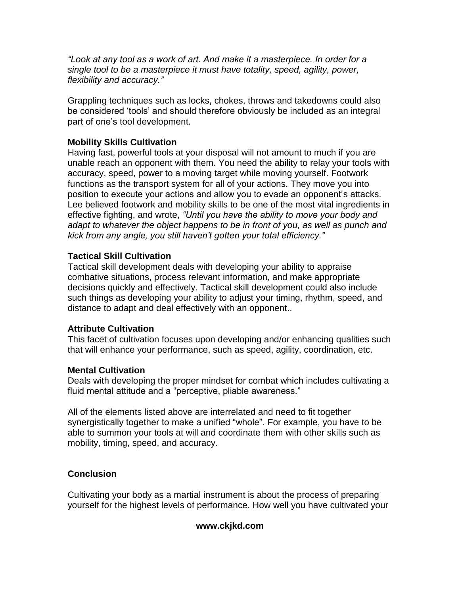*"Look at any tool as a work of art. And make it a masterpiece. In order for a single tool to be a masterpiece it must have totality, speed, agility, power, flexibility and accuracy."*

Grappling techniques such as locks, chokes, throws and takedowns could also be considered 'tools' and should therefore obviously be included as an integral part of one's tool development.

### **Mobility Skills Cultivation**

Having fast, powerful tools at your disposal will not amount to much if you are unable reach an opponent with them. You need the ability to relay your tools with accuracy, speed, power to a moving target while moving yourself. Footwork functions as the transport system for all of your actions. They move you into position to execute your actions and allow you to evade an opponent's attacks. Lee believed footwork and mobility skills to be one of the most vital ingredients in effective fighting, and wrote, *"Until you have the ability to move your body and adapt to whatever the object happens to be in front of you, as well as punch and kick from any angle, you still haven't gotten your total efficiency."*

#### **Tactical Skill Cultivation**

Tactical skill development deals with developing your ability to appraise combative situations, process relevant information, and make appropriate decisions quickly and effectively. Tactical skill development could also include such things as developing your ability to adjust your timing, rhythm, speed, and distance to adapt and deal effectively with an opponent..

#### **Attribute Cultivation**

This facet of cultivation focuses upon developing and/or enhancing qualities such that will enhance your performance, such as speed, agility, coordination, etc.

#### **Mental Cultivation**

Deals with developing the proper mindset for combat which includes cultivating a fluid mental attitude and a "perceptive, pliable awareness."

All of the elements listed above are interrelated and need to fit together synergistically together to make a unified "whole". For example, you have to be able to summon your tools at will and coordinate them with other skills such as mobility, timing, speed, and accuracy.

# **Conclusion**

Cultivating your body as a martial instrument is about the process of preparing yourself for the highest levels of performance. How well you have cultivated your

#### **www.ckjkd.com**